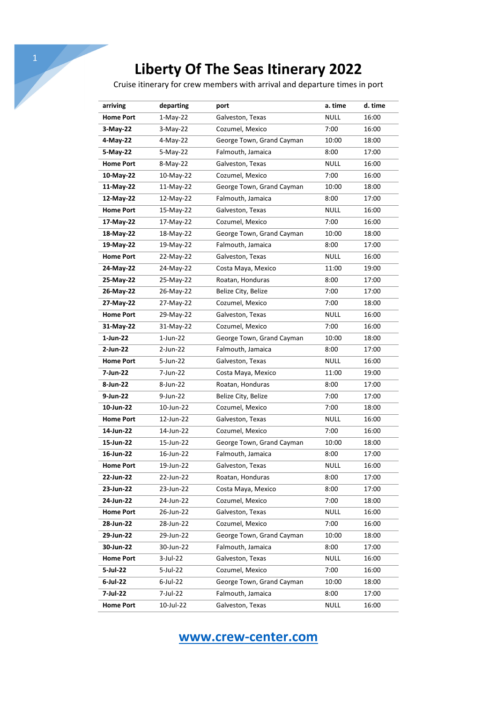Cruise itinerary for crew members with arrival and departure times in port

| arriving         | departing   | port                      | a. time     | d. time |
|------------------|-------------|---------------------------|-------------|---------|
| <b>Home Port</b> | $1-May-22$  | Galveston, Texas          | <b>NULL</b> | 16:00   |
| 3-May-22         | $3-May-22$  | Cozumel, Mexico           | 7:00        | 16:00   |
| 4-May-22         | 4-May-22    | George Town, Grand Cayman | 10:00       | 18:00   |
| 5-May-22         | 5-May-22    | Falmouth, Jamaica         | 8:00        | 17:00   |
| <b>Home Port</b> | 8-May-22    | Galveston, Texas          | <b>NULL</b> | 16:00   |
| 10-May-22        | 10-May-22   | Cozumel, Mexico           | 7:00        | 16:00   |
| 11-May-22        | 11-May-22   | George Town, Grand Cayman | 10:00       | 18:00   |
| 12-May-22        | 12-May-22   | Falmouth, Jamaica         | 8:00        | 17:00   |
| <b>Home Port</b> | 15-May-22   | Galveston, Texas          | <b>NULL</b> | 16:00   |
| 17-May-22        | 17-May-22   | Cozumel, Mexico           | 7:00        | 16:00   |
| 18-May-22        | 18-May-22   | George Town, Grand Cayman | 10:00       | 18:00   |
| 19-May-22        | 19-May-22   | Falmouth, Jamaica         | 8:00        | 17:00   |
| <b>Home Port</b> | 22-May-22   | Galveston, Texas          | <b>NULL</b> | 16:00   |
| 24-May-22        | 24-May-22   | Costa Maya, Mexico        | 11:00       | 19:00   |
| 25-May-22        | 25-May-22   | Roatan, Honduras          | 8:00        | 17:00   |
| 26-May-22        | 26-May-22   | Belize City, Belize       | 7:00        | 17:00   |
| 27-May-22        | 27-May-22   | Cozumel, Mexico           | 7:00        | 18:00   |
| <b>Home Port</b> | 29-May-22   | Galveston, Texas          | <b>NULL</b> | 16:00   |
| 31-May-22        | 31-May-22   | Cozumel, Mexico           | 7:00        | 16:00   |
| 1-Jun-22         | $1$ -Jun-22 | George Town, Grand Cayman | 10:00       | 18:00   |
| 2-Jun-22         | 2-Jun-22    | Falmouth, Jamaica         | 8:00        | 17:00   |
| <b>Home Port</b> | 5-Jun-22    | Galveston, Texas          | <b>NULL</b> | 16:00   |
| 7-Jun-22         | 7-Jun-22    | Costa Maya, Mexico        | 11:00       | 19:00   |
| 8-Jun-22         | 8-Jun-22    | Roatan, Honduras          | 8:00        | 17:00   |
| 9-Jun-22         | 9-Jun-22    | Belize City, Belize       | 7:00        | 17:00   |
| 10-Jun-22        | 10-Jun-22   | Cozumel, Mexico           | 7:00        | 18:00   |
| <b>Home Port</b> | 12-Jun-22   | Galveston, Texas          | <b>NULL</b> | 16:00   |
| 14-Jun-22        | 14-Jun-22   | Cozumel, Mexico           | 7:00        | 16:00   |
| 15-Jun-22        | 15-Jun-22   | George Town, Grand Cayman | 10:00       | 18:00   |
| 16-Jun-22        | 16-Jun-22   | Falmouth, Jamaica         | 8:00        | 17:00   |
| <b>Home Port</b> | 19-Jun-22   | Galveston, Texas          | <b>NULL</b> | 16:00   |
| 22-Jun-22        | 22-Jun-22   | Roatan, Honduras          | 8:00        | 17:00   |
| 23-Jun-22        | 23-Jun-22   | Costa Maya, Mexico        | 8:00        | 17:00   |
| 24-Jun-22        | 24-Jun-22   | Cozumel, Mexico           | 7:00        | 18:00   |
| <b>Home Port</b> | 26-Jun-22   | Galveston, Texas          | <b>NULL</b> | 16:00   |
| 28-Jun-22        | 28-Jun-22   | Cozumel, Mexico           | 7:00        | 16:00   |
| 29-Jun-22        | 29-Jun-22   | George Town, Grand Cayman | 10:00       | 18:00   |
| 30-Jun-22        | 30-Jun-22   | Falmouth, Jamaica         | 8:00        | 17:00   |
| <b>Home Port</b> | 3-Jul-22    | Galveston, Texas          | <b>NULL</b> | 16:00   |
| 5-Jul-22         | 5-Jul-22    | Cozumel, Mexico           | 7:00        | 16:00   |
| 6-Jul-22         | $6$ -Jul-22 | George Town, Grand Cayman | 10:00       | 18:00   |
| 7-Jul-22         | 7-Jul-22    | Falmouth, Jamaica         | 8:00        | 17:00   |
| <b>Home Port</b> | 10-Jul-22   | Galveston, Texas          | <b>NULL</b> | 16:00   |

**www.crew-center.com**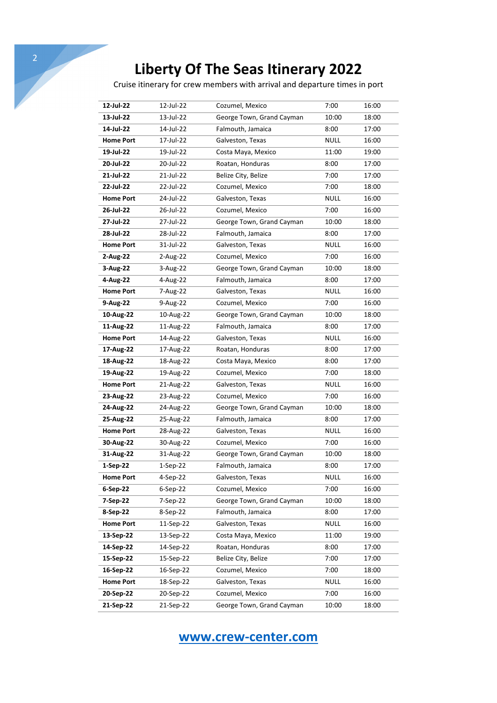Cruise itinerary for crew members with arrival and departure times in port

| 12-Jul-22        | 12-Jul-22  | Cozumel, Mexico           | 7:00        | 16:00 |
|------------------|------------|---------------------------|-------------|-------|
| 13-Jul-22        | 13-Jul-22  | George Town, Grand Cayman | 10:00       | 18:00 |
| 14-Jul-22        | 14-Jul-22  | Falmouth, Jamaica         | 8:00        | 17:00 |
| <b>Home Port</b> | 17-Jul-22  | Galveston, Texas          | <b>NULL</b> | 16:00 |
| 19-Jul-22        | 19-Jul-22  | Costa Maya, Mexico        | 11:00       | 19:00 |
| 20-Jul-22        | 20-Jul-22  | Roatan, Honduras          | 8:00        | 17:00 |
| 21-Jul-22        | 21-Jul-22  | Belize City, Belize       | 7:00        | 17:00 |
| 22-Jul-22        | 22-Jul-22  | Cozumel, Mexico           | 7:00        | 18:00 |
| <b>Home Port</b> | 24-Jul-22  | Galveston, Texas          | <b>NULL</b> | 16:00 |
| 26-Jul-22        | 26-Jul-22  | Cozumel, Mexico           | 7:00        | 16:00 |
| 27-Jul-22        | 27-Jul-22  | George Town, Grand Cayman | 10:00       | 18:00 |
| 28-Jul-22        | 28-Jul-22  | Falmouth, Jamaica         | 8:00        | 17:00 |
| <b>Home Port</b> | 31-Jul-22  | Galveston, Texas          | <b>NULL</b> | 16:00 |
| 2-Aug-22         | 2-Aug-22   | Cozumel, Mexico           | 7:00        | 16:00 |
| 3-Aug-22         | 3-Aug-22   | George Town, Grand Cayman | 10:00       | 18:00 |
| 4-Aug-22         | 4-Aug-22   | Falmouth, Jamaica         | 8:00        | 17:00 |
| <b>Home Port</b> | 7-Aug-22   | Galveston, Texas          | NULL        | 16:00 |
| 9-Aug-22         | 9-Aug-22   | Cozumel, Mexico           | 7:00        | 16:00 |
| 10-Aug-22        | 10-Aug-22  | George Town, Grand Cayman | 10:00       | 18:00 |
| 11-Aug-22        | 11-Aug-22  | Falmouth, Jamaica         | 8:00        | 17:00 |
| <b>Home Port</b> | 14-Aug-22  | Galveston, Texas          | <b>NULL</b> | 16:00 |
| 17-Aug-22        | 17-Aug-22  | Roatan, Honduras          | 8:00        | 17:00 |
| 18-Aug-22        | 18-Aug-22  | Costa Maya, Mexico        | 8:00        | 17:00 |
| 19-Aug-22        | 19-Aug-22  | Cozumel, Mexico           | 7:00        | 18:00 |
| <b>Home Port</b> | 21-Aug-22  | Galveston, Texas          | <b>NULL</b> | 16:00 |
| 23-Aug-22        | 23-Aug-22  | Cozumel, Mexico           | 7:00        | 16:00 |
| 24-Aug-22        | 24-Aug-22  | George Town, Grand Cayman | 10:00       | 18:00 |
| 25-Aug-22        | 25-Aug-22  | Falmouth, Jamaica         | 8:00        | 17:00 |
| <b>Home Port</b> | 28-Aug-22  | Galveston, Texas          | <b>NULL</b> | 16:00 |
| 30-Aug-22        | 30-Aug-22  | Cozumel, Mexico           | 7:00        | 16:00 |
| 31-Aug-22        | 31-Aug-22  | George Town, Grand Cayman | 10:00       | 18:00 |
| 1-Sep-22         | $1-Sep-22$ | Falmouth, Jamaica         | 8:00        | 17:00 |
| <b>Home Port</b> | 4-Sep-22   | Galveston, Texas          | <b>NULL</b> | 16:00 |
| 6-Sep-22         | $6-Sep-22$ | Cozumel, Mexico           | 7:00        | 16:00 |
| 7-Sep-22         | 7-Sep-22   | George Town, Grand Cayman | 10:00       | 18:00 |
| 8-Sep-22         | 8-Sep-22   | Falmouth, Jamaica         | 8:00        | 17:00 |
| <b>Home Port</b> | 11-Sep-22  | Galveston, Texas          | <b>NULL</b> | 16:00 |
| 13-Sep-22        | 13-Sep-22  | Costa Maya, Mexico        | 11:00       | 19:00 |
| 14-Sep-22        | 14-Sep-22  | Roatan, Honduras          | 8:00        | 17:00 |
| 15-Sep-22        | 15-Sep-22  | Belize City, Belize       | 7:00        | 17:00 |
| 16-Sep-22        | 16-Sep-22  | Cozumel, Mexico           | 7:00        | 18:00 |
| <b>Home Port</b> | 18-Sep-22  | Galveston, Texas          | <b>NULL</b> | 16:00 |
| 20-Sep-22        | 20-Sep-22  | Cozumel, Mexico           | 7:00        | 16:00 |
| 21-Sep-22        | 21-Sep-22  | George Town, Grand Cayman | 10:00       | 18:00 |

**www.crew-center.com**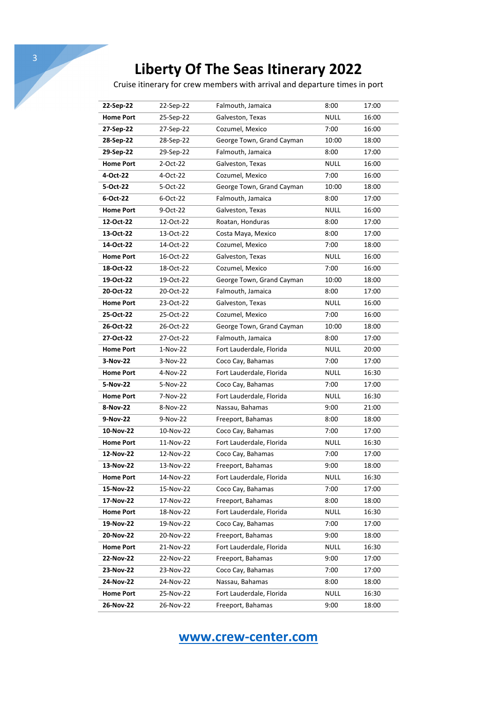Cruise itinerary for crew members with arrival and departure times in port

| 22-Sep-22        | 22-Sep-22 | Falmouth, Jamaica         | 8:00        | 17:00 |
|------------------|-----------|---------------------------|-------------|-------|
| <b>Home Port</b> | 25-Sep-22 | Galveston, Texas          | <b>NULL</b> | 16:00 |
| 27-Sep-22        | 27-Sep-22 | Cozumel, Mexico           | 7:00        | 16:00 |
| 28-Sep-22        | 28-Sep-22 | George Town, Grand Cayman | 10:00       | 18:00 |
| 29-Sep-22        | 29-Sep-22 | Falmouth, Jamaica         | 8:00        | 17:00 |
| <b>Home Port</b> | 2-Oct-22  | Galveston, Texas          | <b>NULL</b> | 16:00 |
| 4-Oct-22         | 4-Oct-22  | Cozumel, Mexico           | 7:00        | 16:00 |
| 5-Oct-22         | 5-Oct-22  | George Town, Grand Cayman | 10:00       | 18:00 |
| 6-Oct-22         | 6-Oct-22  | Falmouth, Jamaica         | 8:00        | 17:00 |
| <b>Home Port</b> | 9-Oct-22  | Galveston, Texas          | <b>NULL</b> | 16:00 |
| 12-Oct-22        | 12-Oct-22 | Roatan, Honduras          | 8:00        | 17:00 |
| 13-Oct-22        | 13-Oct-22 | Costa Maya, Mexico        | 8:00        | 17:00 |
| 14-Oct-22        | 14-Oct-22 | Cozumel, Mexico           | 7:00        | 18:00 |
| <b>Home Port</b> | 16-Oct-22 | Galveston, Texas          | NULL        | 16:00 |
| 18-Oct-22        | 18-Oct-22 | Cozumel, Mexico           | 7:00        | 16:00 |
| 19-Oct-22        | 19-Oct-22 | George Town, Grand Cayman | 10:00       | 18:00 |
| 20-Oct-22        | 20-Oct-22 | Falmouth, Jamaica         | 8:00        | 17:00 |
| <b>Home Port</b> | 23-Oct-22 | Galveston, Texas          | <b>NULL</b> | 16:00 |
| 25-Oct-22        | 25-Oct-22 | Cozumel, Mexico           | 7:00        | 16:00 |
| 26-Oct-22        | 26-Oct-22 | George Town, Grand Cayman | 10:00       | 18:00 |
| 27-Oct-22        | 27-Oct-22 | Falmouth, Jamaica         | 8:00        | 17:00 |
| <b>Home Port</b> | 1-Nov-22  | Fort Lauderdale, Florida  | <b>NULL</b> | 20:00 |
| 3-Nov-22         | 3-Nov-22  | Coco Cay, Bahamas         | 7:00        | 17:00 |
| <b>Home Port</b> | 4-Nov-22  | Fort Lauderdale, Florida  | <b>NULL</b> | 16:30 |
| 5-Nov-22         | 5-Nov-22  | Coco Cay, Bahamas         | 7:00        | 17:00 |
| <b>Home Port</b> | 7-Nov-22  | Fort Lauderdale, Florida  | <b>NULL</b> | 16:30 |
| 8-Nov-22         | 8-Nov-22  | Nassau, Bahamas           | 9:00        | 21:00 |
| 9-Nov-22         | 9-Nov-22  | Freeport, Bahamas         | 8:00        | 18:00 |
| 10-Nov-22        | 10-Nov-22 | Coco Cay, Bahamas         | 7:00        | 17:00 |
| <b>Home Port</b> | 11-Nov-22 | Fort Lauderdale, Florida  | NULL        | 16:30 |
| 12-Nov-22        | 12-Nov-22 | Coco Cay, Bahamas         | 7:00        | 17:00 |
| 13-Nov-22        | 13-Nov-22 | Freeport, Bahamas         | 9:00        | 18:00 |
| <b>Home Port</b> | 14-Nov-22 | Fort Lauderdale, Florida  | <b>NULL</b> | 16:30 |
| 15-Nov-22        | 15-Nov-22 | Coco Cay, Bahamas         | 7:00        | 17:00 |
| 17-Nov-22        | 17-Nov-22 | Freeport, Bahamas         | 8:00        | 18:00 |
| <b>Home Port</b> | 18-Nov-22 | Fort Lauderdale, Florida  | <b>NULL</b> | 16:30 |
| 19-Nov-22        | 19-Nov-22 | Coco Cay, Bahamas         | 7:00        | 17:00 |
| 20-Nov-22        | 20-Nov-22 | Freeport, Bahamas         | 9:00        | 18:00 |
| <b>Home Port</b> | 21-Nov-22 | Fort Lauderdale, Florida  | <b>NULL</b> | 16:30 |
| 22-Nov-22        | 22-Nov-22 | Freeport, Bahamas         | 9:00        | 17:00 |
| 23-Nov-22        | 23-Nov-22 | Coco Cay, Bahamas         | 7:00        | 17:00 |
| 24-Nov-22        | 24-Nov-22 | Nassau, Bahamas           | 8:00        | 18:00 |
| <b>Home Port</b> | 25-Nov-22 | Fort Lauderdale, Florida  | <b>NULL</b> | 16:30 |
| 26-Nov-22        | 26-Nov-22 | Freeport, Bahamas         | 9:00        | 18:00 |

**www.crew-center.com**